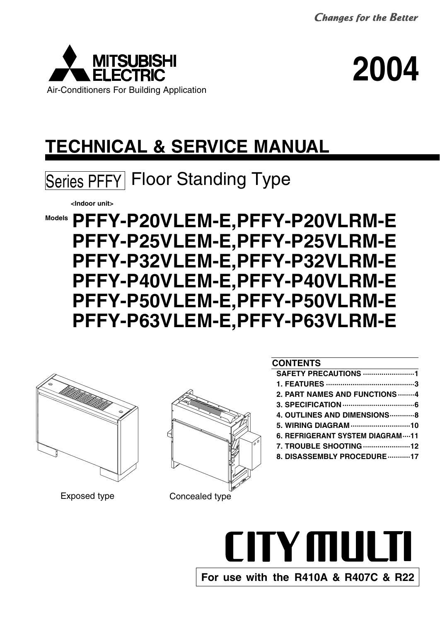



# **TECHNICAL & SERVICE MANUAL**



**<Indoor unit>**

**Models PFFY-P20VLEM-E,PFFY-P20VLRM-E PFFY-P25VLEM-E,PFFY-P25VLRM-E PFFY-P32VLEM-E,PFFY-P32VLRM-E PFFY-P40VLEM-E,PFFY-P40VLRM-E PFFY-P50VLEM-E,PFFY-P50VLRM-E PFFY-P63VLEM-E,PFFY-P63VLRM-E**





# Exposed type Concealed type

# **CONTENTS**

| SAFETY PRECAUTIONS 1            |
|---------------------------------|
|                                 |
| 2. PART NAMES AND FUNCTIONS 4   |
|                                 |
| 4. OUTLINES AND DIMENSIONS  8   |
| 5. WIRING DIAGRAM 10            |
| 6. REFRIGERANT SYSTEM DIAGRAM11 |
| 7. TROUBLE SHOOTING 12          |
| 8. DISASSEMBLY PROCEDURE 17     |
|                                 |

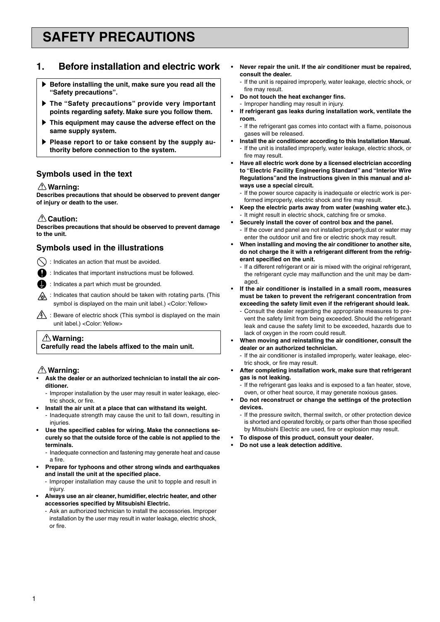# **SAFETY PRECAUTIONS**

# **1. Before installation and electric work**

- **Before installing the unit, make sure you read all the "Safety precautions".**
- **Fig. 3** The "Safety precautions" provide very important **points regarding safety. Make sure you follow them.**
- $\blacktriangleright$  This equipment may cause the adverse effect on the **same supply system.**
- Please report to or take consent by the supply au**thority before connection to the system.**

# **Symbols used in the text**

## **Warning:**

**Describes precautions that should be observed to prevent danger of injury or death to the user.**

### **△Caution:**

**Describes precautions that should be observed to prevent damage to the unit.**

# **Symbols used in the illustrations**

 $\bigcirc$  : Indicates an action that must be avoided.

- : Indicates that important instructions must be followed.
- : Indicates a part which must be grounded.
- **A:** Indicates that caution should be taken with rotating parts. (This symbol is displayed on the main unit label.) < Color: Yellow>
- $\sqrt{\hat{A}}$ : Beware of electric shock (This symbol is displayed on the main unit label.) <Color: Yellow>

### **Warning: Carefully read the labels affixed to the main unit.**

# **Warning:**

- **• Ask the dealer or an authorized technician to install the air conditioner.**
	- Improper installation by the user may result in water leakage, electric shock, or fire.
- **• Install the air unit at a place that can withstand its weight.**
	- Inadequate strength may cause the unit to fall down, resulting in injuries.
- **• Use the specified cables for wiring. Make the connections securely so that the outside force of the cable is not applied to the terminals.**

- Inadequate connection and fastening may generate heat and cause a fire.

- **and install the unit at the specified place. • Prepare for typhoons and other strong winds and earthquakes**
	- Improper installation may cause the unit to topple and result in injury.
- **• Always use an air cleaner, humidifier, electric heater, and other accessories specified by Mitsubishi Electric.**
	- Ask an authorized technician to install the accessories. Improper installation by the user may result in water leakage, electric shock, or fire.
- **• Never repair the unit. If the air conditioner must be repaired, consult the dealer.**
	- If the unit is repaired improperly, water leakage, electric shock, or fire may result.
- **• Do not touch the heat exchanger fins.** - Improper handling may result in injury.
- **• If refrigerant gas leaks during installation work, ventilate the room.**
	- If the refrigerant gas comes into contact with a flame, poisonous gases will be released.
- **• Install the air conditioner according to this Installation Manual.** - If the unit is installed improperly, water leakage, electric shock, or fire may result.
- **• Have all electric work done by a licensed electrician according to "Electric Facility Engineering Standard" and "Interior Wire Regulations"and the instructions given in this manual and always use a special circuit.**
	- If the power source capacity is inadequate or electric work is performed improperly, electric shock and fire may result.
- **• Keep the electric parts away from water (washing water etc.).** - It might result in electric shock, catching fire or smoke.
- **• Securely install the cover of control box and the panel.**
- If the cover and panel are not installed properly,dust or water may enter the outdoor unit and fire or electric shock may result.
- **• When installing and moving the air conditioner to another site, do not charge the it with a refrigerant different from the refrigerant specified on the unit.**
- If a different refrigerant or air is mixed with the original refrigerant, the refrigerant cycle may malfunction and the unit may be damaged.
- **• If the air conditioner is installed in a small room, measures must be taken to prevent the refrigerant concentration from exceeding the safety limit even if the refrigerant should leak.**
	- Consult the dealer regarding the appropriate measures to prevent the safety limit from being exceeded. Should the refrigerant leak and cause the safety limit to be exceeded, hazards due to lack of oxygen in the room could result.
- **• When moving and reinstalling the air conditioner, consult the dealer or an authorized technician.**
	- If the air conditioner is installed improperly, water leakage, electric shock, or fire may result.
- **• After completing installation work, make sure that refrigerant gas is not leaking.**
	- If the refrigerant gas leaks and is exposed to a fan heater, stove, oven, or other heat source, it may generate noxious gases.
- **• Do not reconstruct or change the settings of the protection devices.**
	- If the pressure switch, thermal switch, or other protection device is shorted and operated forcibly, or parts other than those specified by Mitsubishi Electric are used, fire or explosion may result.
- **• To dispose of this product, consult your dealer.**
- **• Do not use a leak detection additive.**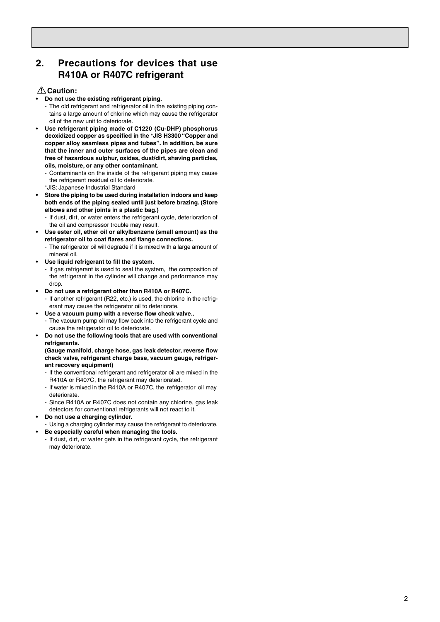# **2. Precautions for devices that use R410A or R407C refrigerant**

### **Caution:**

- **• Do not use the existing refrigerant piping.**
- The old refrigerant and refrigerator oil in the existing piping contains a large amount of chlorine which may cause the refrigerator oil of the new unit to deteriorate.
- **• Use refrigerant piping made of C1220 (Cu-DHP) phosphorus deoxidized copper as specified in the \*JIS H3300 "Copper and copper alloy seamless pipes and tubes ". In addition, be sure that the inner and outer surfaces of the pipes are clean and free of hazardous sulphur, oxides, dust/dirt, shaving particles, oils, moisture, or any other contaminant.**
	- Contaminants on the inside of the refrigerant piping may cause the refrigerant residual oil to deteriorate.
	- \*JIS: Japanese Industrial Standard
- **• Store the piping to be used during installation indoors and keep both ends of the piping sealed until just before brazing. (Store elbows and other joints in a plastic bag.)**
	- If dust, dirt, or water enters the refrigerant cycle, deterioration of the oil and compressor trouble may result.
- **• Use ester oil, ether oil or alkylbenzene (small amount) as the refrigerator oil to coat flares and flange connections.**
	- The refrigerator oil will degrade if it is mixed with a large amount of mineral oil.
- **• Use liquid refrigerant to fill the system.**
	- If gas refrigerant is used to seal the system, the composition of the refrigerant in the cylinder will change and performance may drop.
- **• Do not use a refrig erant other than R410A or R407C.**
	- If another refrigerant (R22, etc.) is used, the chlorine in the refrigerant may cause the refrigerator oil to deteriorate.
- **• Use a vacuum pump with a reverse flow check valve..** - The vacuum pump oil may flow back into the refrigerant cycle and cause the refrigerator oil to deteriorate.
- **• Do not use the following tools that are used with conventional refrigerants.**

**(Gauge manifold, charge hose, gas leak detector, reverse flow check valve, refrigerant charge base, vacuum gauge, refrigerant recovery equipment)**

- If the conventional refrigerant and refrigerator oil are mixed in the R410A or R407C, the refrigerant may deteriorated.
- If water is mixed in the R410A or R407C, the refrigerator oil may deteriorate.
- Since R410A or R407C does not contain any chlorine, gas leak detectors for conventional refrigerants will not react to it.
- **• Do not use a charging cylinder.**
- Using a charging cylinder may cause the refrigerant to deteriorate.
- **• Be especially careful when managing the tools.**
- If dust, dirt, or water gets in the refrigerant cycle, the refrigerant may deteriorate.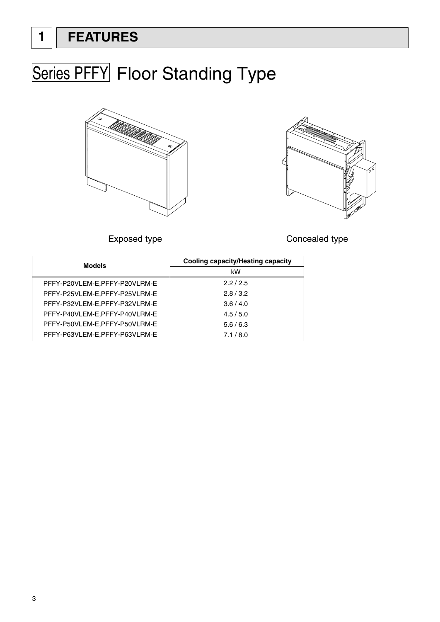# **1 FEATURES**

# **Series PFFY Floor Standing Type**





Exposed type **Concealed** type

| <b>Models</b>                 | <b>Cooling capacity/Heating capacity</b> |
|-------------------------------|------------------------------------------|
|                               | kW                                       |
| PFFY-P20VLEM-E,PFFY-P20VLRM-E | 2.2/2.5                                  |
| PFFY-P25VLEM-E,PFFY-P25VLRM-E | 2.8/3.2                                  |
| PFFY-P32VLEM-E,PFFY-P32VLRM-E | 3.6/4.0                                  |
| PFFY-P40VLEM-E,PFFY-P40VLRM-E | 4.5/5.0                                  |
| PFFY-P50VLEM-E,PFFY-P50VLRM-E | 5.6/6.3                                  |
| PFFY-P63VLEM-E,PFFY-P63VLRM-E | 7.1/8.0                                  |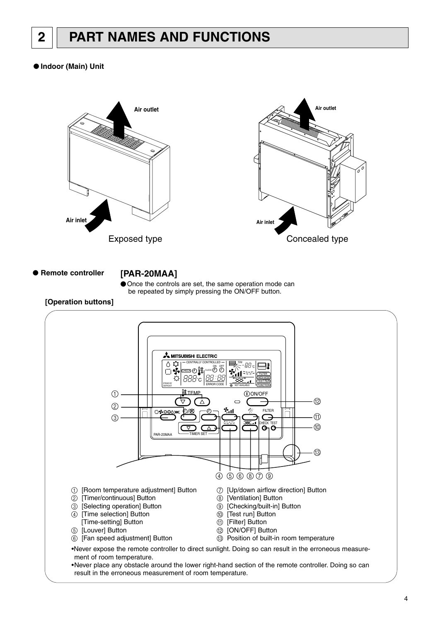# **2 PART NAMES AND FUNCTIONS**

## ● **Indoor (Main) Unit**



● **Remote** 

**controller [PAR-20MAA]**



# **[Operation buttons]**

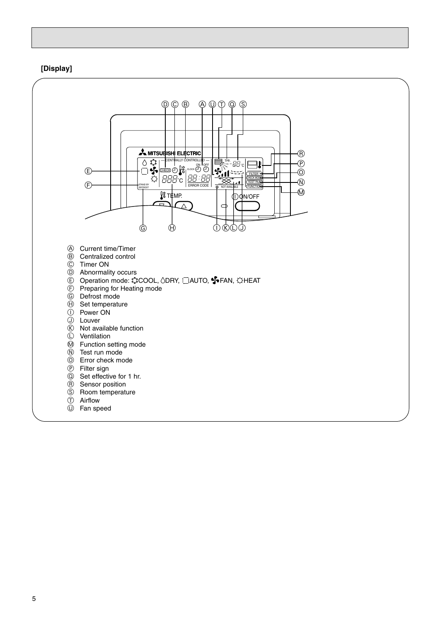# **[Display]**

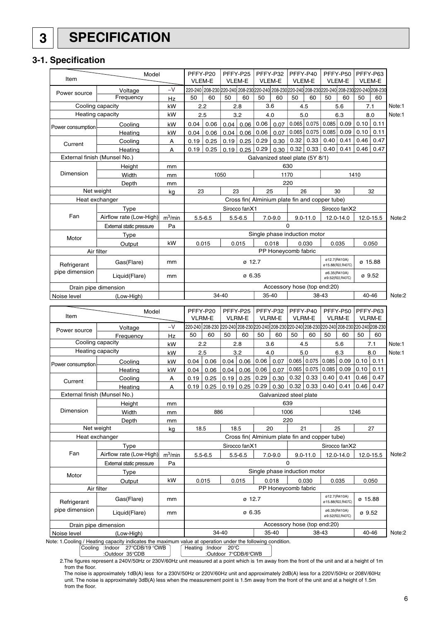# **3 SPECIFICATION**

# **3-1. Specification**

| Item                 | Model                                                                                                     |            | PFFY-P20<br><b>VLEM-E</b>                   |                                                                                                 | PFFY-P25<br><b>VLEM-E</b> |               |                             | PFFY-P32<br><b>VLEM-E</b>                      |                            | PFFY-P40<br><b>VLEM-E</b> |                                   | PFFY-P50<br>VLEM-E               |         | PFFY-P63<br>VLEM-E |        |
|----------------------|-----------------------------------------------------------------------------------------------------------|------------|---------------------------------------------|-------------------------------------------------------------------------------------------------|---------------------------|---------------|-----------------------------|------------------------------------------------|----------------------------|---------------------------|-----------------------------------|----------------------------------|---------|--------------------|--------|
| Power source         | Voltage                                                                                                   | $\sim$ V   |                                             | 220-240 208-230 220-240 208-230 220-240 208-230 220-240 208-230 220-240 208-230 220-240 208-230 |                           |               |                             |                                                |                            |                           |                                   |                                  |         |                    |        |
|                      | Frequency                                                                                                 | Hz         | 50                                          | 60                                                                                              | 50                        | 60            | 50                          | 60                                             | 50                         | 60                        | 50                                | 60                               | 50      | 60                 |        |
|                      | Cooling capacity                                                                                          | kW         |                                             | 2.2                                                                                             |                           | 2.8           |                             | 3.6                                            |                            | 4.5                       |                                   | 5.6                              |         | 7.1                | Note:1 |
|                      | Heating capacity                                                                                          | kW         |                                             | 2.5                                                                                             |                           | 3.2           |                             | 4.0                                            |                            | 5.0                       |                                   | 6.3                              |         | 8.0                | Note:1 |
| Power consumption    | Cooling                                                                                                   | kW         | 0.04                                        | 0.06                                                                                            | 0.04                      | 0.06          | 0.06                        | 0.07                                           | 0.065                      | 0.075                     | 0.085                             | 0.09                             | 0.10    | 0.11               |        |
|                      | Heating                                                                                                   | kW         | 0.04                                        | 0.06                                                                                            | 0.04                      | 0.06          | 0.06                        | 0.07                                           | 0.065                      | 0.075                     | 0.085                             | 0.09                             | 0.10    | 0.11               |        |
| Current              | Cooling                                                                                                   | A          | 0.19                                        | 0.25                                                                                            | 0.19                      | 0.25          | 0.29                        | 0.30                                           | 0.32                       | 0.33                      | 0.40                              | 0.41                             | 0.46    | 0.47               |        |
|                      | Heating                                                                                                   | А          | 0.19                                        | 0.25                                                                                            | 0.19                      | 0.25          | 0.29                        | 0.30                                           | 0.32                       | 0.33                      | 0.40                              | 0.41                             | 0.46    | 0.47               |        |
|                      | External finish (Munsel No.)                                                                              |            |                                             |                                                                                                 |                           |               |                             | Galvanized steel plate (5Y 8/1)                |                            |                           |                                   |                                  |         |                    |        |
|                      | Height                                                                                                    | mm         |                                             |                                                                                                 |                           |               |                             |                                                | 630                        |                           |                                   |                                  |         |                    |        |
| Dimension            | Width                                                                                                     | mm         |                                             |                                                                                                 | 1050                      |               |                             |                                                | 1170                       |                           |                                   |                                  | 1410    |                    |        |
|                      | Depth                                                                                                     | mm         |                                             |                                                                                                 |                           |               |                             |                                                | 220                        |                           |                                   |                                  |         |                    |        |
|                      | Net weight                                                                                                | kg         | 23                                          |                                                                                                 | 23                        |               |                             | 25                                             |                            | 26                        |                                   | 30                               |         | 32                 |        |
|                      | Heat exchanger                                                                                            |            |                                             |                                                                                                 |                           |               |                             | Cross fin( Alminium plate fin and copper tube) |                            |                           |                                   |                                  |         |                    |        |
|                      | Type                                                                                                      |            |                                             |                                                                                                 |                           | Sirocco fanX1 |                             |                                                |                            |                           |                                   | Sirocco fanX2                    |         |                    |        |
| Fan                  | Airflow rate (Low-High)                                                                                   | $m^3/m$ in |                                             | $5.5 - 6.5$                                                                                     |                           | $5.5 - 6.5$   |                             | $7.0 - 9.0$                                    |                            | $9.0 - 11.0$              |                                   | 12.0-14.0                        |         | 12.0-15.5          | Note:2 |
|                      | External static pressure                                                                                  | Pa         |                                             |                                                                                                 |                           |               |                             |                                                | $\Omega$                   |                           |                                   |                                  |         |                    |        |
| Motor                | Type                                                                                                      |            |                                             |                                                                                                 |                           |               |                             | Single phase induction motor                   |                            |                           |                                   |                                  |         |                    |        |
|                      | Output                                                                                                    | kW         |                                             | 0.015                                                                                           |                           | 0.015         |                             | 0.018                                          |                            | 0.030                     |                                   | 0.035                            |         | 0.050              |        |
|                      | Air filter                                                                                                |            |                                             | PP Honeycomb fabric                                                                             |                           |               |                             |                                                |                            |                           |                                   |                                  |         |                    |        |
| Refrigerant          | Gas(Flare)                                                                                                | mm         |                                             | ø 12.7                                                                                          |                           |               |                             |                                                |                            |                           | ø12.7(R410A)<br>ø15.88(R22,R407C) |                                  | ø 15.88 |                    |        |
| pipe dimension       |                                                                                                           |            |                                             |                                                                                                 |                           |               |                             |                                                |                            | ø6.35(R410A)              |                                   |                                  |         |                    |        |
|                      | Liquid(Flare)                                                                                             | mm         |                                             | Ø 6.35                                                                                          |                           |               |                             |                                                | ø 9.52<br>ø9.52(R22,R407C) |                           |                                   |                                  |         |                    |        |
|                      | Drain pipe dimension                                                                                      |            |                                             | Accessory hose (top end:20)                                                                     |                           |               |                             |                                                |                            |                           |                                   |                                  |         |                    |        |
| Noise level          | (Low-High)                                                                                                |            |                                             | 34-40<br>40-46<br>35-40<br>38-43                                                                |                           |               |                             |                                                |                            |                           | Note:2                            |                                  |         |                    |        |
|                      | Model                                                                                                     |            | PFFY-P20                                    |                                                                                                 |                           | PFFY-P25      |                             | PFFY-P32                                       |                            | PFFY-P40                  |                                   | PFFY-P50                         |         | PFFY-P63           |        |
| Item                 |                                                                                                           |            |                                             | <b>VLRM-E</b>                                                                                   |                           | <b>VLRM-E</b> |                             | <b>VLRM-E</b>                                  |                            | VLRM-E                    |                                   | VLRM-E                           |         | VLRM-E             |        |
|                      | Voltage                                                                                                   | $\sim$ V   |                                             | 220-240 208-230 220-240 208-230 220-240 208-230 220-240 208-230 220-240 208-230 220-240 208-230 |                           |               |                             |                                                |                            |                           |                                   |                                  |         |                    |        |
| Power source         | Frequency                                                                                                 | Hz         | 50                                          | 60                                                                                              | 50                        | 60            | 50                          | 60                                             | 50                         | 60                        | 50                                | 60                               | 50      | 60                 |        |
|                      | Cooling capacity                                                                                          | kW         |                                             | 2.2                                                                                             |                           | 2.8           |                             | 3.6                                            |                            | 4.5                       |                                   | 5.6                              |         | 7.1                | Note:1 |
|                      | Heating capacity                                                                                          | kW         |                                             | 2.5                                                                                             |                           | 3.2           |                             | 4.0                                            |                            | 5.0                       |                                   | 6.3                              |         | 8.0                | Note:1 |
|                      | Cooling                                                                                                   | kW         | 0.04                                        | 0.06                                                                                            | 0.04                      | 0.06          | 0.06                        | 0.07                                           | 0.065                      | 0.075                     | 0.085                             | 0.09                             | 0.10    | 0.11               |        |
| Power consumption    | Heating                                                                                                   | kW         | 0.04                                        | 0.06                                                                                            | 0.04                      | 0.06          | 0.06                        | 0.07                                           | 0.065                      | 0.075                     | 0.085                             | 0.09                             | 0.10    | 0.11               |        |
| Current              | Cooling                                                                                                   | А          | 0.19                                        | 0.25                                                                                            | 0.19                      | 0.25          | 0.29                        | 0.30                                           | 0.32                       | 0.33                      | 0.40                              | 0.41                             | 0.46    | 0.47               |        |
|                      | Heating                                                                                                   | A          | 0.19                                        | 0.25                                                                                            | 0.19                      | 0.25          | 0.29                        | 0.30                                           | 0.32                       | 0.33                      | 0.40                              | 0.41                             | 0.46    | 0.47               |        |
|                      | External finish (Munsel No.)                                                                              |            |                                             |                                                                                                 |                           |               |                             | Galvanized steel plate                         |                            |                           |                                   |                                  |         |                    |        |
|                      | Height                                                                                                    | mm         | 639                                         |                                                                                                 |                           |               |                             |                                                |                            |                           |                                   |                                  |         |                    |        |
| Dimension            | Width                                                                                                     | mm         |                                             | 886<br>1006<br>1246                                                                             |                           |               |                             |                                                |                            |                           |                                   |                                  |         |                    |        |
|                      | Depth                                                                                                     | mm         |                                             |                                                                                                 |                           |               |                             |                                                | 220                        |                           |                                   |                                  |         |                    |        |
|                      | Net weight                                                                                                | kg         | 18.5                                        |                                                                                                 | 18.5                      |               |                             | 20                                             |                            | 21                        |                                   | 25                               |         | 27                 |        |
|                      | Heat exchanger                                                                                            |            |                                             |                                                                                                 |                           |               |                             | Cross fin( Alminium plate fin and copper tube) |                            |                           |                                   |                                  |         |                    |        |
|                      | Type                                                                                                      |            |                                             |                                                                                                 |                           | Sirocco fanX1 |                             |                                                |                            |                           |                                   | Sirocco fanX2                    |         |                    |        |
| Fan                  | Airflow rate (Low-High)                                                                                   | $m^3/m$ in |                                             | $5.5 - 6.5$                                                                                     |                           | $5.5 - 6.5$   |                             | $7.0 - 9.0$                                    |                            | $9.0 - 11.0$              |                                   | 12.0-14.0                        |         | 12.0-15.5          | Note:2 |
|                      | External static pressure                                                                                  | Pa         |                                             |                                                                                                 |                           |               |                             |                                                | $\mathbf 0$                |                           |                                   |                                  |         |                    |        |
| Motor                | Type                                                                                                      |            |                                             |                                                                                                 |                           |               |                             | Single phase induction motor                   |                            |                           |                                   |                                  |         |                    |        |
|                      | Output                                                                                                    | kW         |                                             | 0.015                                                                                           |                           | 0.015         |                             | 0.018                                          |                            | 0.030                     |                                   | 0.035                            |         | 0.050              |        |
|                      | Air filter                                                                                                |            |                                             |                                                                                                 |                           |               |                             | PP Honeycomb fabric                            |                            |                           |                                   |                                  |         |                    |        |
| Refrigerant          | Gas(Flare)                                                                                                | mm         | ø12.7(R410A)<br>ø 12.7<br>ø15.88(R22,R407C) |                                                                                                 |                           |               |                             |                                                | ø 15.88                    |                           |                                   |                                  |         |                    |        |
| pipe dimension       | Liquid(Flare)                                                                                             | mm         |                                             |                                                                                                 |                           | ø 6.35        |                             |                                                |                            |                           |                                   | ø6.35(R410A)<br>ø9.52(R22,R407C) | Ø 9.52  |                    |        |
| Drain pipe dimension |                                                                                                           |            |                                             |                                                                                                 |                           |               | Accessory hose (top end:20) |                                                |                            |                           |                                   |                                  |         |                    |        |
| Noise level          |                                                                                                           |            |                                             | 34-40                                                                                           |                           |               | 35-40                       |                                                |                            | 38-43                     |                                   |                                  | 40-46   | Note:2             |        |
|                      | late: 1 Cooling / Hosting capacity indicatos the maximum value at eperation under the following condition |            |                                             |                                                                                                 |                           |               |                             |                                                |                            |                           |                                   |                                  |         |                    |        |

Note: 1.Cooling / Heating capacity indicates the maximum value at operation under the following condition.

Cooling :Indoor 27°CDB/19 °CWB Heating :Indoor 20°C<br>Cooling :Indoor 27°CDB/19 °CWB Heating :Indoor 20°C

:Outdoor 7°CDB/6°CWB

2.The figures represent a 240V/50Hz or 230V/60Hz unit measured at a point which is 1m away from the front of the unit and at a height of 1m from the floor.

 The noise is approximately 1dB(A) less for a 230V/50Hz or 220V/60Hz unit and approximately 2dB(A) less for a 220V/50Hz or 208V/60Hz unit. The noise is approximately 3dB(A) less when the measurement point is 1.5m away from the front of the unit and at a height of 1.5m from the floor.

6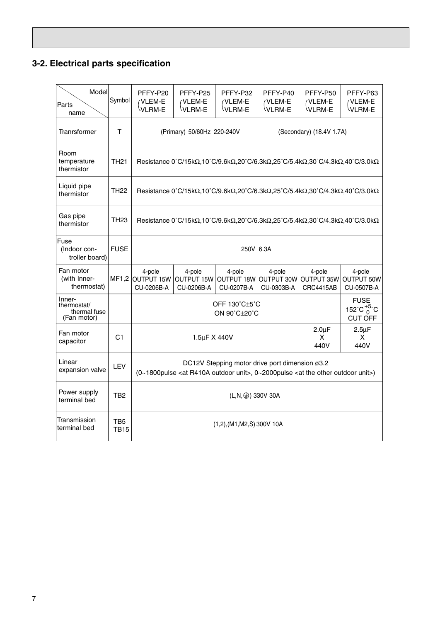# **3-2. Electrical parts specification**

| Model<br>Parts<br>name                               | Symbol             | PFFY-P20<br>VLEM-E<br>VLRM-E                                                                                                                                    | PFFY-P25<br>/VLEM-E<br>VLRM-E                                                                                                                                            | PFFY-P32<br>VLEM-E<br>VLRM-E              | PFFY-P40<br>/VLEM-E<br>VLRM-E                                              | PFFY-P50<br>/VLEM-E<br>VLRM-E            | PFFY-P63<br>VLEM-E<br>VLRM-E              |  |  |  |
|------------------------------------------------------|--------------------|-----------------------------------------------------------------------------------------------------------------------------------------------------------------|--------------------------------------------------------------------------------------------------------------------------------------------------------------------------|-------------------------------------------|----------------------------------------------------------------------------|------------------------------------------|-------------------------------------------|--|--|--|
| Tranrsformer                                         | Т                  |                                                                                                                                                                 | (Primary) 50/60Hz 220-240V<br>(Secondary) (18.4V 1.7A)                                                                                                                   |                                           |                                                                            |                                          |                                           |  |  |  |
| Room<br>temperature<br>thermistor                    | TH <sub>21</sub>   |                                                                                                                                                                 | Resistance 0°C/15kΩ,10°C/9.6kΩ,20°C/6.3kΩ,25°C/5.4kΩ,30°C/4.3kΩ,40°C/3.0kΩ                                                                                               |                                           |                                                                            |                                          |                                           |  |  |  |
| Liquid pipe<br>thermistor                            | TH <sub>22</sub>   |                                                                                                                                                                 |                                                                                                                                                                          |                                           | Resistance 0°C/15kΩ,10°C/9.6kΩ,20°C/6.3kΩ,25°C/5.4kΩ,30°C/4.3kΩ,40°C/3.0kΩ |                                          |                                           |  |  |  |
| Gas pipe<br>thermistor                               | TH <sub>23</sub>   |                                                                                                                                                                 | Resistance $0^{\circ}C/15k\Omega$ , $10^{\circ}C/9.6k\Omega$ , $20^{\circ}C/6.3k\Omega$ , $25^{\circ}C/5.4k\Omega$ , $30^{\circ}C/4.3k\Omega$ , $40^{\circ}C/3.0k\Omega$ |                                           |                                                                            |                                          |                                           |  |  |  |
| Fuse<br>(Indoor con-<br>troller board)               | <b>FUSE</b>        |                                                                                                                                                                 | 250V 6.3A                                                                                                                                                                |                                           |                                                                            |                                          |                                           |  |  |  |
| Fan motor<br>(with Inner-<br>thermostat)             |                    | 4-pole<br>MF1,2 OUTPUT 15W<br>CU-0206B-A                                                                                                                        | 4-pole<br><b>OUTPUT 15W</b><br>CU-0206B-A                                                                                                                                | 4-pole<br><b>OUTPUT 18W</b><br>CU-0207B-A | 4-pole<br>OUTPUT 30W<br>CU-0303B-A                                         | 4-pole<br>OUTPUT 35W<br><b>CRC4415AB</b> | 4-pole<br><b>OUTPUT 50W</b><br>CU-0507B-A |  |  |  |
| Inner-<br>thermostat/<br>thermal fuse<br>(Fan motor) |                    |                                                                                                                                                                 | <b>FUSE</b><br>OFF 130°C+5°C<br>152°C $^{+5}_{0}$ °C<br>ON $90^{\circ}$ C $\pm$ 20 $^{\circ}$ C<br><b>CUT OFF</b>                                                        |                                           |                                                                            |                                          |                                           |  |  |  |
| Fan motor<br>capacitor                               | C <sub>1</sub>     |                                                                                                                                                                 | $2.0 \mu F$<br>$2.5\mu F$<br>1.5µF X 440V<br>x<br>X<br>440V<br>440V                                                                                                      |                                           |                                                                            |                                          |                                           |  |  |  |
| Linear<br>expansion valve                            | LEV                | DC12V Stepping motor drive port dimension ø3.2<br>(0~1800pulse <at outdoor="" r410a="" unit="">, 0~2000pulse <at other="" outdoor="" the="" unit="">)</at></at> |                                                                                                                                                                          |                                           |                                                                            |                                          |                                           |  |  |  |
| Power supply<br>terminal bed                         | TB2                |                                                                                                                                                                 |                                                                                                                                                                          | (L,N, $\circledast$ ) 330V 30A            |                                                                            |                                          |                                           |  |  |  |
| Transmission<br>terminal bed                         | TB5<br><b>TB15</b> |                                                                                                                                                                 | $(1,2)$ , (M1, M2, S) 300V 10A                                                                                                                                           |                                           |                                                                            |                                          |                                           |  |  |  |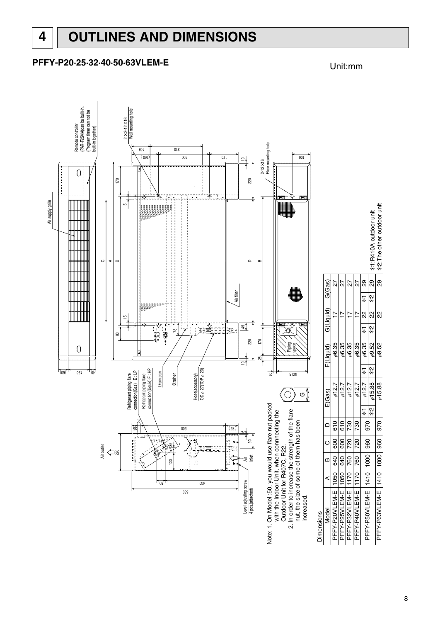# **PFFY-P20·25·32·40·50·63VLEM-E** Unit:mm

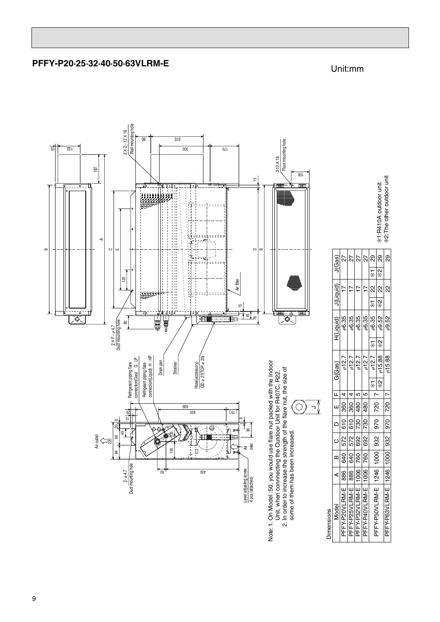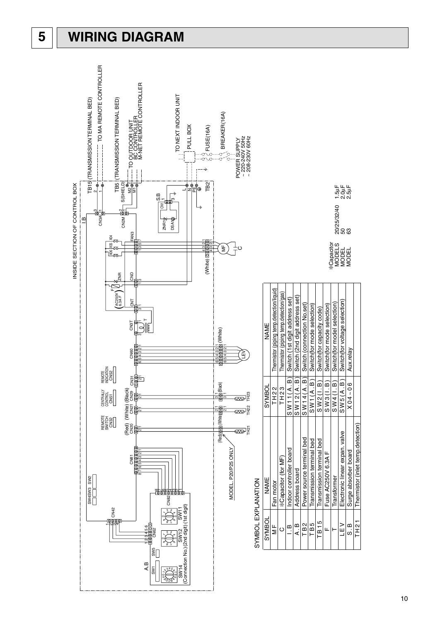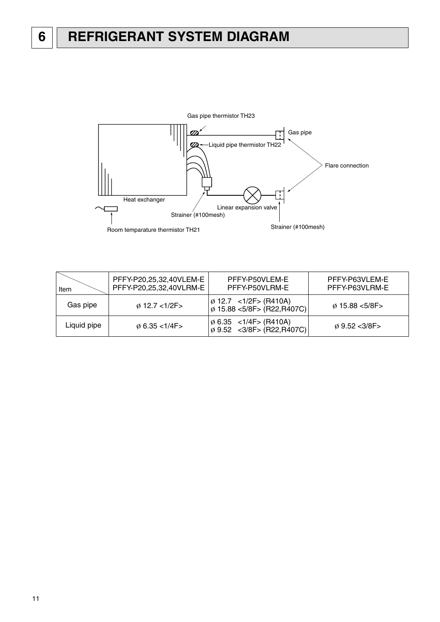

| Item        | PFFY-P20,25,32,40VLEM-E<br>PFFY-P20,25,32,40VLRM-E | PFFY-P50VLEM-E<br>PFFY-P50VLRM-E                                            | PFFY-P63VLEM-E<br>PFFY-P63VLRM-E |
|-------------|----------------------------------------------------|-----------------------------------------------------------------------------|----------------------------------|
| Gas pipe    | $\emptyset$ 12.7 <1/2F>                            | $\phi$ 12.7 <1/2F> (R410A)<br>  ø 15.88 <5/8F> (R22,R407C)                  | $\phi$ 15.88 < 5/8F >            |
| Liquid pipe | $\phi$ 6.35 < 1/4F >                               | $\varphi$ 6.35 < 1/4F > (R410A)<br>$\varnothing$ 9.52 < 3/8F > (R22, R407C) | $\omega$ 9.52 < 3/8F >           |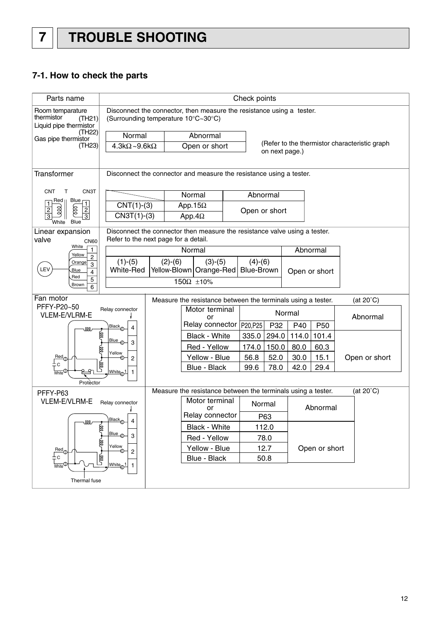# **7-1. How to check the parts**

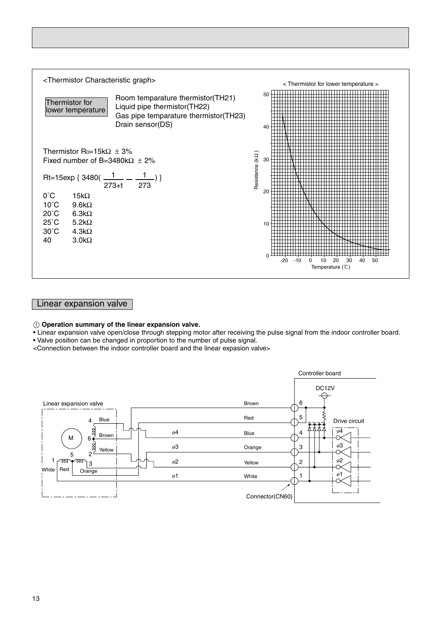

# Linear expansion valve

### 1 **Operation summary of the linear expansion valve.**

• Linear expansion valve open/close through stepping motor after receiving the pulse signal from the indoor controller board.

• Valve position can be changed in proportion to the number of pulse signal.

<Connection between the indoor controller board and the linear expasion valve>

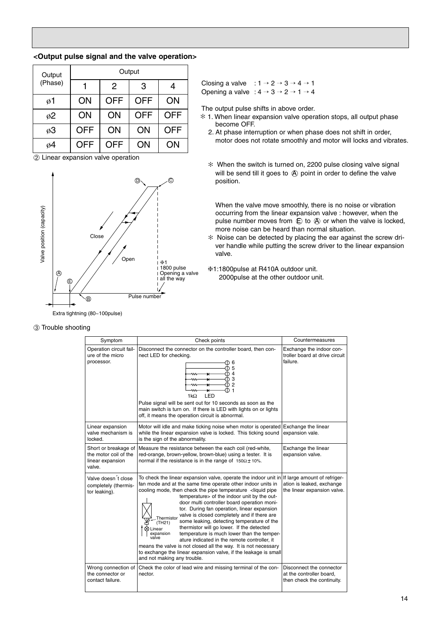### **<Output pulse signal and the valve operation>**

| Output  |            |            | Output     |            |
|---------|------------|------------|------------|------------|
| (Phase) |            | 2          | 3          |            |
| ø1      | ON         | <b>OFF</b> | <b>OFF</b> | ON         |
| ø2      | ON         | ON         | <b>OFF</b> | <b>OFF</b> |
| ø3      | <b>OFF</b> | ON         | ON         | <b>OFF</b> |
| ø4      | <b>OFF</b> | OFF        | ΟN         | ON         |

➁ Linear expansion valve operation



Closing a valve :  $1 \rightarrow 2 \rightarrow 3 \rightarrow 4 \rightarrow 1$ Opening a valve :  $4 \rightarrow 3 \rightarrow 2 \rightarrow 1 \rightarrow 4$ 

The output pulse shifts in above order.

- 1. When linear expansion valve operation stops, all output phase ✻ become OFF.
- 2. At phase interruption or when phase does not shift in order, motor does not rotate smoothly and motor will locks and vibrates.
- When the switch is turned on, 2200 pulse closing valve signal ✻ will be send till it goes to  $\bigcirc$  point in order to define the valve position.

When the valve move smoothly, there is no noise or vibration occurring from the linear expansion valve : however, when the pulse number moves from  $\oplus$  to  $\oplus$  or when the valve is locked, more noise can be heard than normal situation.

- ✻ Noise can be detected by placing the ear against the screw driver handle while putting the screw driver to the linear expansion valve.
- ❈1:1800pulse at R410A outdoor unit. 2000pulse at the other outdoor unit.

| Symptom                                                                     | Check points                                                                                                                                                                                                                                                                                                                                                                                                                                                                                                                                                                                                                                                                                                                                                                                                                                                                        | Countermeasures                                                                    |  |  |
|-----------------------------------------------------------------------------|-------------------------------------------------------------------------------------------------------------------------------------------------------------------------------------------------------------------------------------------------------------------------------------------------------------------------------------------------------------------------------------------------------------------------------------------------------------------------------------------------------------------------------------------------------------------------------------------------------------------------------------------------------------------------------------------------------------------------------------------------------------------------------------------------------------------------------------------------------------------------------------|------------------------------------------------------------------------------------|--|--|
| Operation circuit fail-<br>ure of the micro<br>processor.                   | Disconnect the connector on the controller board, then con-<br>nect LED for checking.<br>① 6<br>① 5<br>ጠ 4<br>ന 3<br><u>ጠ 2</u><br>×<br>ጠ 1<br>ы<br>LED<br>1kΩ<br>Pulse signal will be sent out for 10 seconds as soon as the<br>main switch is turn on. If there is LED with lights on or lights<br>off, it means the operation circuit is abnormal.                                                                                                                                                                                                                                                                                                                                                                                                                                                                                                                               | Exchange the indoor con-<br>troller board at drive circuit<br>failure.             |  |  |
| Linear expansion<br>valve mechanism is<br>locked.                           | Motor will idle and make ticking noise when motor is operated<br>while the linear expansion valve is locked. This ticking sound<br>is the sign of the abnormality.                                                                                                                                                                                                                                                                                                                                                                                                                                                                                                                                                                                                                                                                                                                  | Exchange the linear<br>expansion vale.                                             |  |  |
| Short or breakage of<br>the motor coil of the<br>linear expansion<br>valve. | Measure the resistance between the each coil (red-white,<br>red-orange, brown-yellow, brown-blue) using a tester. It is<br>normal if the resistance is in the range of $150\Omega \pm 10\%$ .                                                                                                                                                                                                                                                                                                                                                                                                                                                                                                                                                                                                                                                                                       | Exchange the linear<br>expansion valve.                                            |  |  |
| Valve doesn't close<br>completely (thermis-<br>tor leaking).                | To check the linear expansion valve, operate the indoor unit in If large amount of refriger-<br>fan mode and at the same time operate other indoor units in<br>cooling mode, then check the pipe temperature <liquid pipe<br="">temperature&gt; of the indoor unit by the out-<br/>door multi controller board operation moni-<br/>tor. During fan operation, linear expansion<br/>valve is closed completely and if there are<br/>Thermistor<br/>some leaking, detecting temperature of the<br/>(TH<sub>21</sub>)<br/>thermistor will go lower. If the detected<br/>Linear<br/>expansion<br/>temperature is much lower than the temper-<br/>valve<br/>ature indicated in the remote controller, it<br/>means the valve is not closed all the way. It is not necessary<br/>to exchange the linear expansion valve, if the leakage is small<br/>and not making any trouble.</liquid> | ation is leaked, exchange<br>the linear expansion valve.                           |  |  |
| Wrong connection of<br>the connector or<br>contact failure.                 | Check the color of lead wire and missing terminal of the con-<br>nector.                                                                                                                                                                                                                                                                                                                                                                                                                                                                                                                                                                                                                                                                                                                                                                                                            | Disconnect the connector<br>at the controller board,<br>then check the continuity. |  |  |

### ➂ Trouble shooting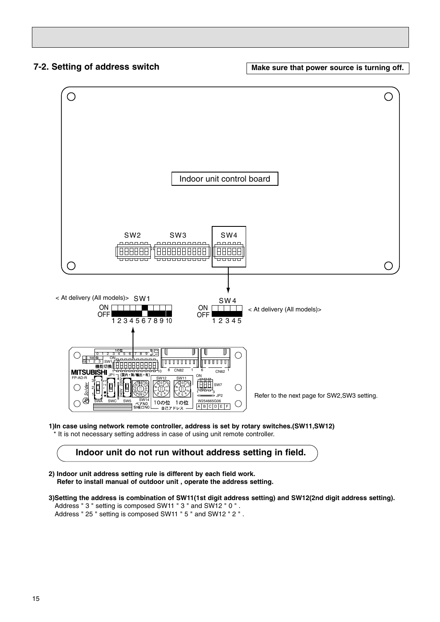**7-2. Setting of address switch Theory of Make sure that power source is turning off.** 



**1)In case using network remote controller, address is set by rotary switches.(SW11,SW12)** \* It is not necessary setting address in case of using unit remote controller.

# **Indoor unit do not run without address setting in field.**

- **2) Indoor unit address setting rule is different by each field work. Refer to install manual of outdoor unit , operate the address setting.**
- **3)Setting the address is combination of SW11(1st digit address setting) and SW12(2nd digit address setting).** Address " 3 " setting is composed SW11 " 3 " and SW12 " 0 " . Address " 25 " setting is composed SW11 " 5 " and SW12 " 2 " .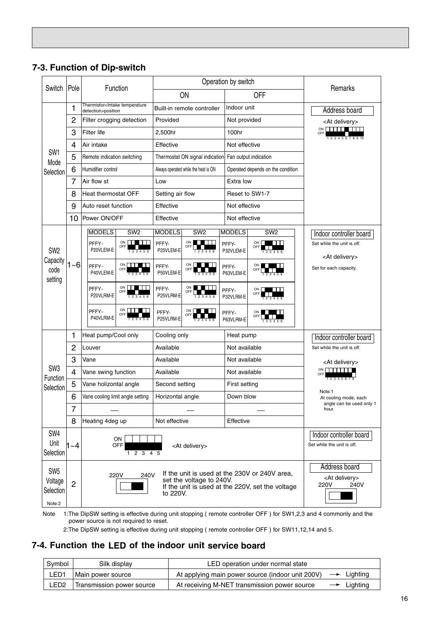|                                                   |                |                                                                     |                                                                                                                                                                                                                          |                                        | Operation by switch |                                      |                    |                                                     | Remarks                                               |  |  |
|---------------------------------------------------|----------------|---------------------------------------------------------------------|--------------------------------------------------------------------------------------------------------------------------------------------------------------------------------------------------------------------------|----------------------------------------|---------------------|--------------------------------------|--------------------|-----------------------------------------------------|-------------------------------------------------------|--|--|
| Switch                                            | Pole           |                                                                     |                                                                                                                                                                                                                          | Function                               | ON                  |                                      |                    | <b>OFF</b>                                          |                                                       |  |  |
|                                                   | 1              | Thermistor <intake temperature<br="">detection&gt;position</intake> |                                                                                                                                                                                                                          |                                        |                     | Built-in remote controller           | Indoor unit        |                                                     | Address board                                         |  |  |
|                                                   | $\overline{c}$ |                                                                     |                                                                                                                                                                                                                          | Filter crogging detection              | Provided            |                                      |                    | Not provided                                        | <at delivery=""></at>                                 |  |  |
|                                                   | 3              | <b>Filter life</b>                                                  |                                                                                                                                                                                                                          |                                        | 2,500hr             |                                      | 100hr              |                                                     | ON <b>IIIIII</b> III<br>OFF<br>12345678910            |  |  |
|                                                   | 4              | Air intake                                                          |                                                                                                                                                                                                                          |                                        | Effective           |                                      |                    | Not effective                                       |                                                       |  |  |
| SW <sub>1</sub><br>Mode                           | 5              | Remote indication switching                                         |                                                                                                                                                                                                                          |                                        |                     | Thermostat ON signal indication      |                    | Fan output indication                               |                                                       |  |  |
| Selection                                         | 6              | Humidifier control                                                  |                                                                                                                                                                                                                          |                                        |                     | Always operated while the heat is ON |                    | Operated depends on the condition                   |                                                       |  |  |
|                                                   | 7              |                                                                     | Air flow st                                                                                                                                                                                                              |                                        | Low                 |                                      | Extra low          |                                                     |                                                       |  |  |
|                                                   | 8              | Heat thermostat OFF                                                 |                                                                                                                                                                                                                          |                                        | Setting air flow    |                                      |                    | Reset to SW1-7                                      |                                                       |  |  |
|                                                   | 9              |                                                                     | Auto reset function                                                                                                                                                                                                      |                                        | Effective           |                                      |                    | Not effective                                       |                                                       |  |  |
|                                                   | 10             | Power ON/OFF                                                        |                                                                                                                                                                                                                          |                                        | Effective           |                                      |                    | Not effective                                       |                                                       |  |  |
|                                                   |                |                                                                     | <b>MODELS</b>                                                                                                                                                                                                            | SW <sub>2</sub>                        | <b>MODELS</b>       | SW <sub>2</sub>                      | <b>MODELS</b>      | SW <sub>2</sub>                                     | Indoor controller board                               |  |  |
| SW <sub>2</sub>                                   |                |                                                                     | PFFY-<br>P20VLEM-E                                                                                                                                                                                                       | ON <b>DESCRIPTION</b><br>OFF<br>123456 | PFFY-<br>P25VLEM-E  | ON<br>ww<br>OFF $\Box$<br>123456     | PFFY-<br>P32VLEM-E | ON<br>and the state<br>OFF<br>123456                | Set while the unit is off.<br><at delivery=""></at>   |  |  |
| Capacity<br>code<br>setting                       | $1 - 6$        |                                                                     | PFFY-<br>P40VLEM-E                                                                                                                                                                                                       | ON $\Box$<br>OFF<br>123456             | PFFY-<br>P50VLEM-E  | ON<br>OFF                            | PFFY-<br>P63VLEM-E | ON I<br>. .<br>OFF                                  | Set for each capacity.                                |  |  |
|                                                   |                |                                                                     | PFFY-<br>P20VLRM-E                                                                                                                                                                                                       | ON              <br>OFF<br>123456      | PFFY-<br>P25VLRM-E  | ON  <br>.<br>OFF<br>1 2 3 4 5 6      | PFFY-<br>P32VLRM-E | ON<br>and the state<br>OFF<br>a kata<br>1 2 3 4 5 6 |                                                       |  |  |
|                                                   |                |                                                                     | PFFY-<br>P40VLRM-E                                                                                                                                                                                                       | ON              <br>OFF<br>123456      | PFFY-<br>P25VLRM-E  | $ON$    <br>OFF<br>23456             | PFFY-<br>P63VLRM-E | ON  <br>OFF <sub>[</sub>                            |                                                       |  |  |
|                                                   | 1              |                                                                     | Heat pump/Cool only                                                                                                                                                                                                      |                                        |                     | Cooling only                         |                    | Heat pump                                           | Indoor controller board                               |  |  |
|                                                   | $\overline{2}$ |                                                                     | Louver                                                                                                                                                                                                                   |                                        | Available           |                                      |                    | Not available                                       | Set while the unit is off.                            |  |  |
|                                                   | 3              |                                                                     | Vane                                                                                                                                                                                                                     |                                        | Available           |                                      |                    | Not available                                       | <at delivery=""></at>                                 |  |  |
| SW <sub>3</sub><br>Function                       | $\overline{4}$ |                                                                     | Vane swing function                                                                                                                                                                                                      |                                        | Available           |                                      |                    | Not available                                       | ON THEFT<br>OFF                                       |  |  |
| Selection                                         | 5              | Vane holizontal angle                                               |                                                                                                                                                                                                                          |                                        | Second setting      |                                      | First setting      |                                                     | 12345678                                              |  |  |
|                                                   | 6              |                                                                     |                                                                                                                                                                                                                          | Vane cooling limit angle setting       | Horizontal angle    |                                      | Down blow          |                                                     | Note:1<br>At cooling mode, each                       |  |  |
|                                                   | ı              |                                                                     |                                                                                                                                                                                                                          |                                        |                     |                                      |                    |                                                     | angle can be used only 1<br>hour.                     |  |  |
|                                                   | 8              |                                                                     | Heating 4deg up                                                                                                                                                                                                          |                                        | Not effective       |                                      | Effective          |                                                     |                                                       |  |  |
| SW4<br>Unit<br>Selection                          | 1~4            |                                                                     | ON<br>OFF<br><at delivery=""><br/>1 2 3 4 5</at>                                                                                                                                                                         |                                        |                     |                                      |                    |                                                     | Indoor controller board<br>Set while the unit is off. |  |  |
| SW <sub>5</sub><br>Voltage<br>Selection<br>Note:2 | $\overline{2}$ |                                                                     | Address board<br>If the unit is used at the 230V or 240V area,<br>240V<br>220V<br><at delivery=""><br/>set the voltage to 240V.<br/>220V<br/>240V<br/>If the unit is used at the 220V, set the voltage<br/>to 220V.</at> |                                        |                     |                                      |                    |                                                     |                                                       |  |  |

# **7-3. Function of Dip-switch**

Note 1:The DipSW setting is effective during unit stopping ( remote controller OFF) for SW1,2,3 and 4 commonly and the power source is not required to reset.

2:The DipSW setting is effective during unit stopping ( remote controller OFF ) for SW11,12,14 and 5.

# 7-4. Function the LED of the indoor unit service board

| Symbol           | Silk display              | LED operation under normal state                                        |                        |
|------------------|---------------------------|-------------------------------------------------------------------------|------------------------|
| LED <sub>1</sub> | Main power source         | At applying main power source (indoor unit 200V) $\rightarrow$ Lighting |                        |
| LED2             | Transmission power source | At receiving M-NET transmission power source                            | $\rightarrow$ Lighting |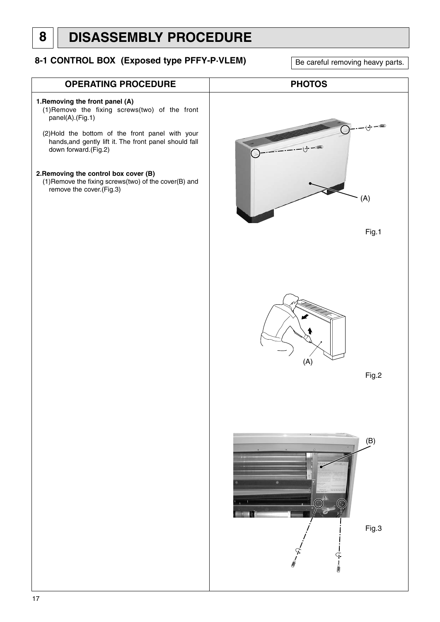# **8 DISASSEMBLY PROCEDURE**

# **8-1 CONTROL BOX (Exposed type PFFY-P-VLEM)** Be careful removing heavy parts.

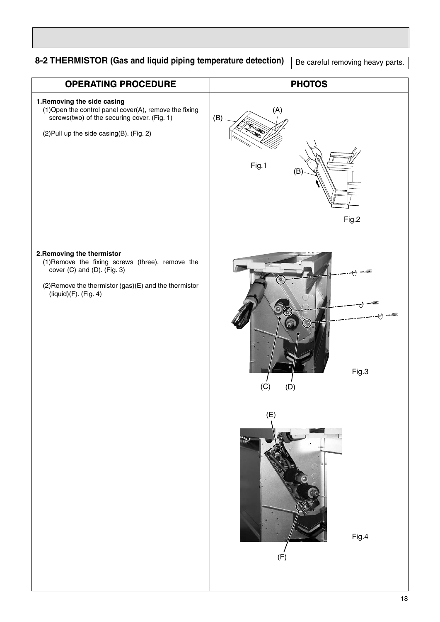# **8-2 THERMISTOR (Gas and liquid piping temperature detection)**

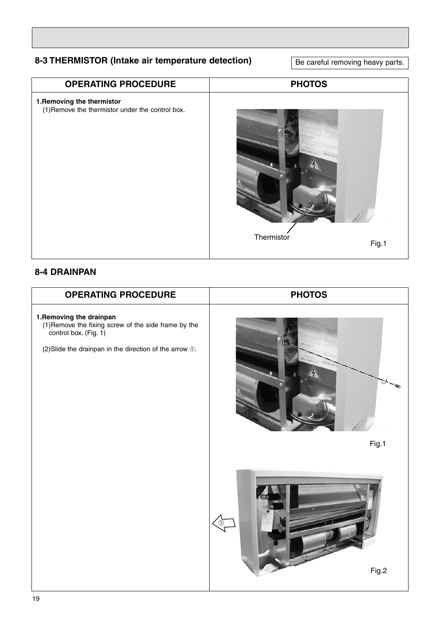# **8-3 THERMISTOR (Intake air temperature detection)**

Be careful removing heavy parts.



# **8-4 DRAINPAN**

| <b>OPERATING PROCEDURE</b>                                                                                                                                           | <b>PHOTOS</b> |
|----------------------------------------------------------------------------------------------------------------------------------------------------------------------|---------------|
| 1. Removing the drainpan<br>(1) Remove the fixing screw of the side frame by the<br>control box. (Fig. 1)<br>(2) Slide the drainpan in the direction of the arrow 1. | Fig.1         |
|                                                                                                                                                                      | (1)<br>Fig.2  |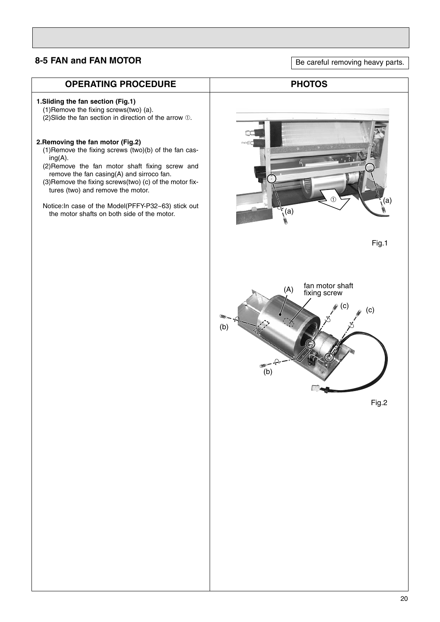# **8-5 FAN and FAN MOTOR**

| <b>OPERATING PROCEDURE</b>                                                                                                                                                                                                                                                                                                                                                                                                                                                                                                                               | <b>PHOTOS</b>                                                                        |
|----------------------------------------------------------------------------------------------------------------------------------------------------------------------------------------------------------------------------------------------------------------------------------------------------------------------------------------------------------------------------------------------------------------------------------------------------------------------------------------------------------------------------------------------------------|--------------------------------------------------------------------------------------|
| 1. Sliding the fan section (Fig.1)<br>(1) Remove the fixing screws(two) (a).<br>(2) Slide the fan section in direction of the arrow 1.<br>2. Removing the fan motor (Fig.2)<br>(1) Remove the fixing screws (two)(b) of the fan cas-<br>$ing(A)$ .<br>(2) Remove the fan motor shaft fixing screw and<br>remove the fan casing(A) and sirroco fan.<br>(3) Remove the fixing screws(two) (c) of the motor fix-<br>tures (two) and remove the motor.<br>Notice: In case of the Model(PFFY-P32~63) stick out<br>the motor shafts on both side of the motor. | (a)<br>$\overline{\mathcal{F}}_{(a)}$                                                |
|                                                                                                                                                                                                                                                                                                                                                                                                                                                                                                                                                          | Fig.1<br>fan motor shaft<br>(A)<br>fixing screw<br>(c)<br>(c)<br>(b)<br>(b)<br>Fig.2 |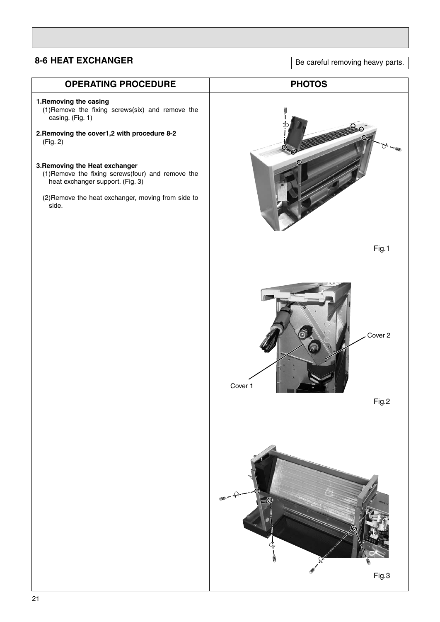# **8-6 HEAT EXCHANGER**

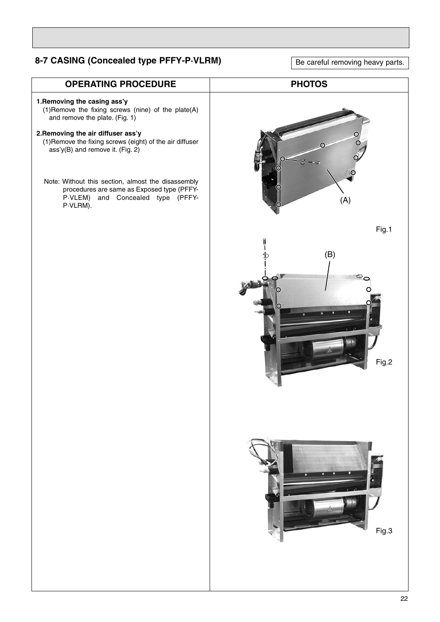# **8-7 CASING (Concealed type PFFY-P·VLRM)**